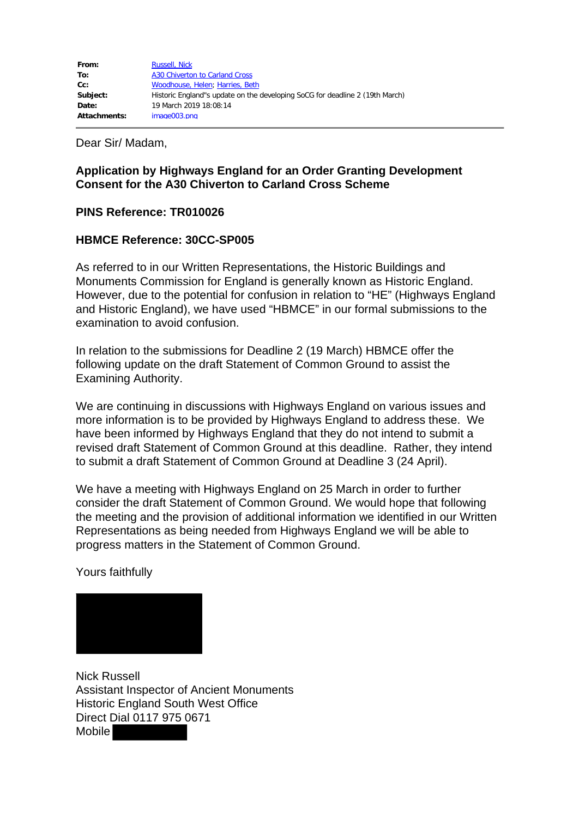Dear Sir/ Madam,

## **Application by Highways England for an Order Granting Development Consent for the A30 Chiverton to Carland Cross Scheme**

## **PINS Reference: TR010026**

## **HBMCE Reference: 30CC-SP005**

As referred to in our Written Representations, the Historic Buildings and Monuments Commission for England is generally known as Historic England. However, due to the potential for confusion in relation to "HE" (Highways England and Historic England), we have used "HBMCE" in our formal submissions to the examination to avoid confusion.

In relation to the submissions for Deadline 2 (19 March) HBMCE offer the following update on the draft Statement of Common Ground to assist the Examining Authority.

We are continuing in discussions with Highways England on various issues and more information is to be provided by Highways England to address these. We have been informed by Highways England that they do not intend to submit a revised draft Statement of Common Ground at this deadline. Rather, they intend to submit a draft Statement of Common Ground at Deadline 3 (24 April).

We have a meeting with Highways England on 25 March in order to further consider the draft Statement of Common Ground. We would hope that following the meeting and the provision of additional information we identified in our Written Representations as being needed from Highways England we will be able to progress matters in the Statement of Common Ground.

Yours faithfully



Nick Russell Assistant Inspector of Ancient Monuments Historic England South West Office Direct Dial 0117 975 0671 Mobile